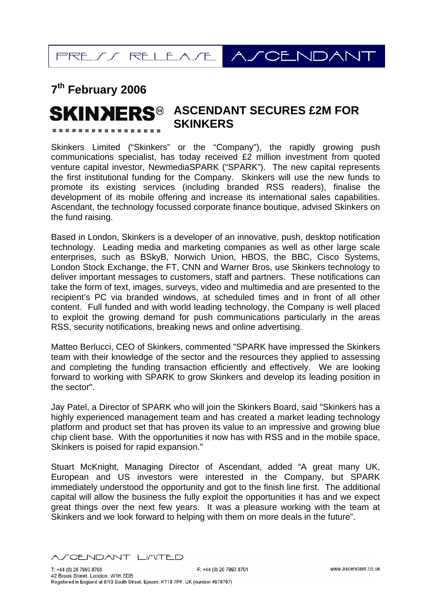## **7th February 2006**

## **SKINNEI ASCENDANT SECURES £2M FOR**  RS® **SKINKERS**

Skinkers Limited ("Skinkers" or the "Company"), the rapidly growing push communications specialist, has today received £2 million investment from quoted venture capital investor, NewmediaSPARK ("SPARK"). The new capital represents the first institutional funding for the Company. Skinkers will use the new funds to promote its existing services (including branded RSS readers), finalise the development of its mobile offering and increase its international sales capabilities. Ascendant, the technology focussed corporate finance boutique, advised Skinkers on the fund raising.

Based in London, Skinkers is a developer of an innovative, push, desktop notification technology. Leading media and marketing companies as well as other large scale enterprises, such as BSkyB, Norwich Union, HBOS, the BBC, Cisco Systems, London Stock Exchange, the FT, CNN and Warner Bros, use Skinkers technology to deliver important messages to customers, staff and partners. These notifications can take the form of text, images, surveys, video and multimedia and are presented to the recipient's PC via branded windows, at scheduled times and in front of all other content. Full funded and with world leading technology, the Company is well placed to exploit the growing demand for push communications particularly in the areas RSS, security notifications, breaking news and online advertising.

Matteo Berlucci, CEO of Skinkers, commented "SPARK have impressed the Skinkers team with their knowledge of the sector and the resources they applied to assessing and completing the funding transaction efficiently and effectively. We are looking forward to working with SPARK to grow Skinkers and develop its leading position in the sector".

Jay Patel, a Director of SPARK who will join the Skinkers Board, said "Skinkers has a highly experienced management team and has created a market leading technology platform and product set that has proven its value to an impressive and growing blue chip client base. With the opportunities it now has with RSS and in the mobile space, Skinkers is poised for rapid expansion."

Stuart McKnight, Managing Director of Ascendant, added "A great many UK, European and US investors were interested in the Company, but SPARK immediately understood the opportunity and got to the finish line first. The additional capital will allow the business the fully exploit the opportunities it has and we expect great things over the next few years. It was a pleasure working with the team at Skinkers and we look forward to helping with them on more deals in the future".

ASCENDANT LIMITED